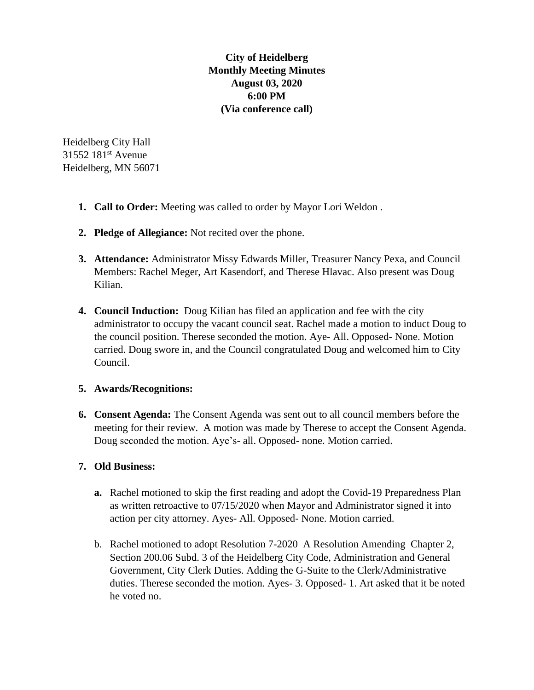**City of Heidelberg Monthly Meeting Minutes August 03, 2020 6:00 PM (Via conference call)**

Heidelberg City Hall 31552 181st Avenue Heidelberg, MN 56071

- **1. Call to Order:** Meeting was called to order by Mayor Lori Weldon .
- **2. Pledge of Allegiance:** Not recited over the phone.
- **3. Attendance:** Administrator Missy Edwards Miller, Treasurer Nancy Pexa, and Council Members: Rachel Meger, Art Kasendorf, and Therese Hlavac. Also present was Doug Kilian.
- **4. Council Induction:** Doug Kilian has filed an application and fee with the city administrator to occupy the vacant council seat. Rachel made a motion to induct Doug to the council position. Therese seconded the motion. Aye- All. Opposed- None. Motion carried. Doug swore in, and the Council congratulated Doug and welcomed him to City Council.

## **5. Awards/Recognitions:**

**6. Consent Agenda:** The Consent Agenda was sent out to all council members before the meeting for their review. A motion was made by Therese to accept the Consent Agenda. Doug seconded the motion. Aye's- all. Opposed- none. Motion carried.

## **7. Old Business:**

- **a.** Rachel motioned to skip the first reading and adopt the Covid-19 Preparedness Plan as written retroactive to 07/15/2020 when Mayor and Administrator signed it into action per city attorney. Ayes- All. Opposed- None. Motion carried.
- b. Rachel motioned to adopt Resolution 7-2020 A Resolution Amending Chapter 2, Section 200.06 Subd. 3 of the Heidelberg City Code, Administration and General Government, City Clerk Duties. Adding the G-Suite to the Clerk/Administrative duties. Therese seconded the motion. Ayes- 3. Opposed- 1. Art asked that it be noted he voted no.